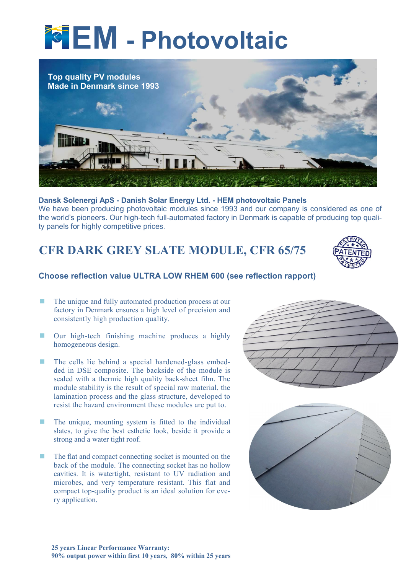# **TEM** - Photovoltaic



## Dansk Solenergi ApS - Danish Solar Energy Ltd. - HEM photovoltaic Panels

We have been producing photovoltaic modules since 1993 and our company is considered as one of the world's pioneers. Our high-tech full-automated factory in Denmark is capable of producing top quality panels for highly competitive prices.

CFR DARK GREY SLATE MODULE, CFR 65/75



# Choose reflection value ULTRA LOW RHEM 600 (see reflection rapport)

- The unique and fully automated production process at our factory in Denmark ensures a high level of precision and consistently high production quality.
- **Dure high-tech finishing machine produces a highly** homogeneous design.
- **The cells lie behind a special hardened-glass embed**ded in DSE composite. The backside of the module is sealed with a thermic high quality back-sheet film. The module stability is the result of special raw material, the lamination process and the glass structure, developed to resist the hazard environment these modules are put to.
- $\blacksquare$  The unique, mounting system is fitted to the individual slates, to give the best esthetic look, beside it provide a strong and a water tight roof.
- **The flat and compact connecting socket is mounted on the** back of the module. The connecting socket has no hollow cavities. It is watertight, resistant to UV radiation and microbes, and very temperature resistant. This flat and compact top-quality product is an ideal solution for every application.